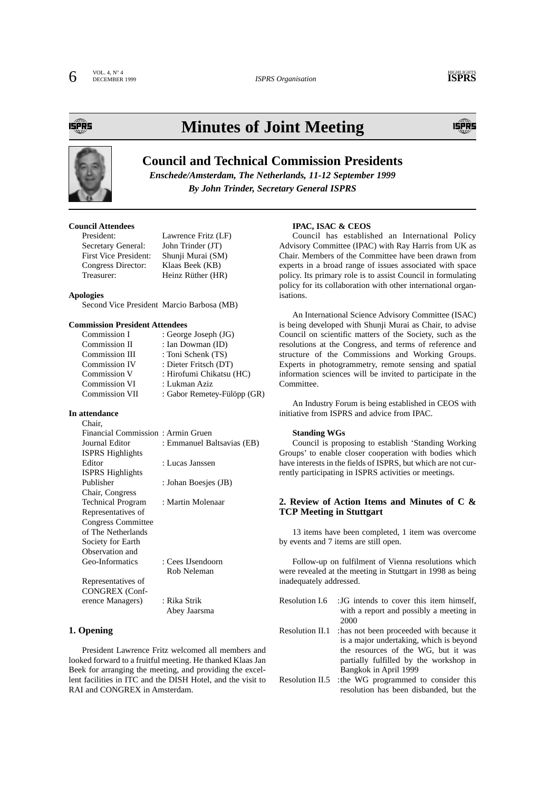DECEMBER 1999 *ISPRS Organisation*

ÉPŘ5

## **Minutes of Joint Meeting**



### **Council and Technical Commission Presidents**

*Enschede/Amsterdam, The Netherlands, 11-12 September 1999 By John Trinder, Secretary General ISPRS*

#### **Council Attendees**

| President:                   | Lawrence Fritz (LF) |
|------------------------------|---------------------|
| Secretary General:           | John Trinder (JT)   |
| <b>First Vice President:</b> | Shunji Murai (SM)   |
| Congress Director:           | Klaas Beek (KB)     |
| Treasurer:                   | Heinz Rüther (HR)   |

#### **Apologies**

Second Vice President Marcio Barbosa (MB)

#### **Commission President Attendees**

| Commission I          | : George Joseph (JG)        |
|-----------------------|-----------------------------|
| Commission II         | : Ian Dowman (ID)           |
| Commission III        | : Toni Schenk (TS)          |
| Commission IV         | : Dieter Fritsch (DT)       |
| Commission V          | : Hirofumi Chikatsu (HC)    |
| Commission VI         | : Lukman Aziz               |
| <b>Commission VII</b> | : Gabor Remetey-Fülöpp (GR) |

#### **In attendance** Chair,

| Financial Commission: Armin Gruen |                            |
|-----------------------------------|----------------------------|
| Journal Editor                    | : Emmanuel Baltsavias (EB) |
| <b>ISPRS Highlights</b>           |                            |
| Editor                            | : Lucas Janssen            |
| <b>ISPRS</b> Highlights           |                            |
| Publisher                         | : Johan Boesjes (JB)       |
| Chair, Congress                   |                            |
| <b>Technical Program</b>          | : Martin Molenaar          |
| Representatives of                |                            |
| Congress Committee                |                            |
| of The Netherlands                |                            |
| Society for Earth                 |                            |
| Observation and                   |                            |
| Geo-Informatics                   | : Cees IJsendoorn          |
|                                   | Rob Neleman                |
| Representatives of                |                            |
| <b>CONGREX (Conf-</b>             |                            |
| erence Managers)                  | : Rika Strik               |
|                                   | Abey Jaarsma               |
|                                   |                            |

#### **1. Opening**

President Lawrence Fritz welcomed all members and looked forward to a fruitful meeting. He thanked Klaas Jan Beek for arranging the meeting, and providing the excellent facilities in ITC and the DISH Hotel, and the visit to RAI and CONGREX in Amsterdam.

#### **IPAC, ISAC & CEOS**

Council has established an International Policy Advisory Committee (IPAC) with Ray Harris from UK as Chair. Members of the Committee have been drawn from experts in a broad range of issues associated with space policy. Its primary role is to assist Council in formulating policy for its collaboration with other international organisations.

An International Science Advisory Committee (ISAC) is being developed with Shunji Murai as Chair, to advise Council on scientific matters of the Society, such as the resolutions at the Congress, and terms of reference and structure of the Commissions and Working Groups. Experts in photogrammetry, remote sensing and spatial information sciences will be invited to participate in the Committee.

An Industry Forum is being established in CEOS with initiative from ISPRS and advice from IPAC.

#### **Standing WGs**

Council is proposing to establish 'Standing Working Groups' to enable closer cooperation with bodies which have interests in the fields of ISPRS, but which are not currently participating in ISPRS activities or meetings.

#### **2. Review of Action Items and Minutes of C & TCP Meeting in Stuttgart**

13 items have been completed, 1 item was overcome by events and 7 items are still open.

Follow-up on fulfilment of Vienna resolutions which were revealed at the meeting in Stuttgart in 1998 as being inadequately addressed.

- Resolution I.6 :JG intends to cover this item himself, with a report and possibly a meeting in 2000
- Resolution II.1 :has not been proceeded with because it is a major undertaking, which is beyond the resources of the WG, but it was partially fulfilled by the workshop in Bangkok in April 1999
- Resolution II.5 :the WG programmed to consider this resolution has been disbanded, but the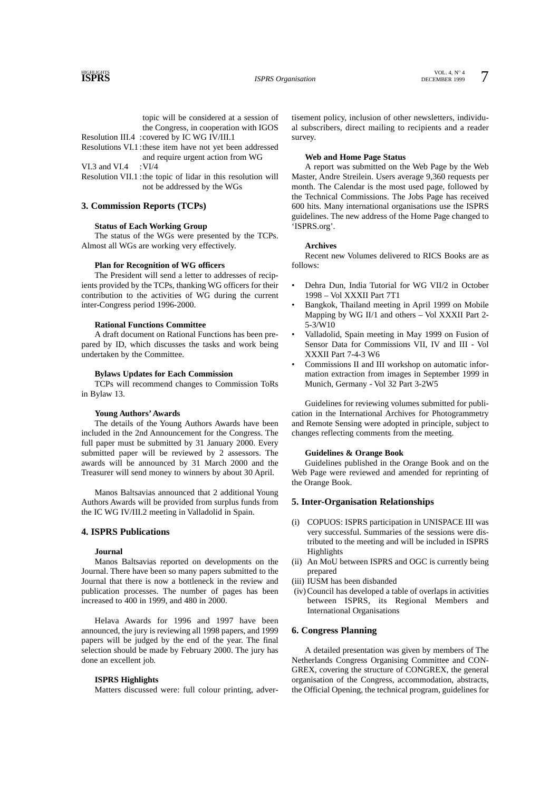topic will be considered at a session of the Congress, in cooperation with IGOS Resolution III.4 :covered by IC WG IV/III.1

Resolutions VI.1 :these item have not yet been addressed and require urgent action from WG

VI.3 and VI.4 :VI/4

Resolution VII.1 :the topic of lidar in this resolution will not be addressed by the WGs

#### **3. Commission Reports (TCPs)**

#### **Status of Each Working Group**

The status of the WGs were presented by the TCPs. Almost all WGs are working very effectively.

#### **Plan for Recognition of WG officers**

The President will send a letter to addresses of recipients provided by the TCPs, thanking WG officers for their contribution to the activities of WG during the current inter-Congress period 1996-2000.

#### **Rational Functions Committee**

A draft document on Rational Functions has been prepared by ID, which discusses the tasks and work being undertaken by the Committee.

#### **Bylaws Updates for Each Commission**

TCPs will recommend changes to Commission ToRs in Bylaw 13.

#### **Young Authors' Awards**

The details of the Young Authors Awards have been included in the 2nd Announcement for the Congress. The full paper must be submitted by 31 January 2000. Every submitted paper will be reviewed by 2 assessors. The awards will be announced by 31 March 2000 and the Treasurer will send money to winners by about 30 April.

Manos Baltsavias announced that 2 additional Young Authors Awards will be provided from surplus funds from the IC WG IV/III.2 meeting in Valladolid in Spain.

#### **4. ISPRS Publications**

#### **Journal**

Manos Baltsavias reported on developments on the Journal. There have been so many papers submitted to the Journal that there is now a bottleneck in the review and publication processes. The number of pages has been increased to 400 in 1999, and 480 in 2000.

Helava Awards for 1996 and 1997 have been announced, the jury is reviewing all 1998 papers, and 1999 papers will be judged by the end of the year. The final selection should be made by February 2000. The jury has done an excellent job.

#### **ISPRS Highlights**

Matters discussed were: full colour printing, adver-

tisement policy, inclusion of other newsletters, individual subscribers, direct mailing to recipients and a reader survey.

#### **Web and Home Page Status**

A report was submitted on the Web Page by the Web Master, Andre Streilein. Users average 9,360 requests per month. The Calendar is the most used page, followed by the Technical Commissions. The Jobs Page has received 600 hits. Many international organisations use the ISPRS guidelines. The new address of the Home Page changed to 'ISPRS.org'.

#### **Archives**

Recent new Volumes delivered to RICS Books are as follows:

- Dehra Dun, India Tutorial for WG VII/2 in October 1998 – Vol XXXII Part 7T1
- Bangkok, Thailand meeting in April 1999 on Mobile Mapping by WG II/1 and others – Vol XXXII Part 2- 5-3/W10
- Valladolid, Spain meeting in May 1999 on Fusion of Sensor Data for Commissions VII, IV and III - Vol XXXII Part 7-4-3 W6
- Commissions II and III workshop on automatic information extraction from images in September 1999 in Munich, Germany - Vol 32 Part 3-2W5

Guidelines for reviewing volumes submitted for publication in the International Archives for Photogrammetry and Remote Sensing were adopted in principle, subject to changes reflecting comments from the meeting.

#### **Guidelines & Orange Book**

Guidelines published in the Orange Book and on the Web Page were reviewed and amended for reprinting of the Orange Book.

#### **5. Inter-Organisation Relationships**

- (i) COPUOS: ISPRS participation in UNISPACE III was very successful. Summaries of the sessions were distributed to the meeting and will be included in ISPRS Highlights
- (ii) An MoU between ISPRS and OGC is currently being prepared
- (iii) IUSM has been disbanded
- (iv) Council has developed a table of overlaps in activities between ISPRS, its Regional Members and International Organisations

#### **6. Congress Planning**

A detailed presentation was given by members of The Netherlands Congress Organising Committee and CON-GREX, covering the structure of CONGREX, the general organisation of the Congress, accommodation, abstracts, the Official Opening, the technical program, guidelines for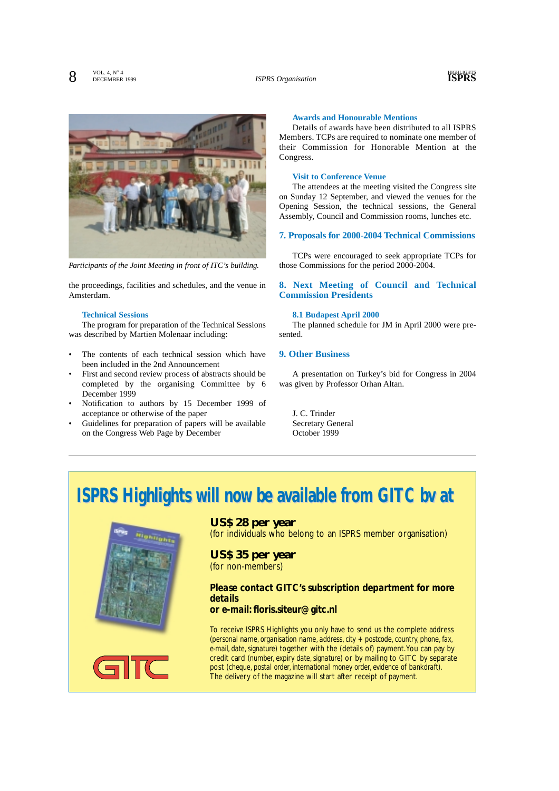

*Participants of the Joint Meeting in front of ITC's building.*

the proceedings, facilities and schedules, and the venue in Amsterdam.

#### **Technical Sessions**

The program for preparation of the Technical Sessions was described by Martien Molenaar including:

- The contents of each technical session which have been included in the 2nd Announcement
- First and second review process of abstracts should be completed by the organising Committee by 6 December 1999
- Notification to authors by 15 December 1999 of acceptance or otherwise of the paper
- Guidelines for preparation of papers will be available on the Congress Web Page by December

#### **Awards and Honourable Mentions**

Details of awards have been distributed to all ISPRS Members. TCPs are required to nominate one member of their Commission for Honorable Mention at the Congress.

#### **Visit to Conference Venue**

The attendees at the meeting visited the Congress site on Sunday 12 September, and viewed the venues for the Opening Session, the technical sessions, the General Assembly, Council and Commission rooms, lunches etc.

#### **7. Proposals for 2000-2004 Technical Commissions**

TCPs were encouraged to seek appropriate TCPs for those Commissions for the period 2000-2004.

#### **8. Next Meeting of Council and Technical Commission Presidents**

#### **8.1 Budapest April 2000**

The planned schedule for JM in April 2000 were presented.

#### **9. Other Business**

A presentation on Turkey's bid for Congress in 2004 was given by Professor Orhan Altan.

J. C. Trinder Secretary General October 1999

# **ISPRS Highlights will now be available from GITC bv at**



#### **US\$ 28 per year**

(for individuals who belong to an ISPRS member organisation)

### **US\$ 35 per year**  (for non-members)

### *Please contact GITC's subscription department for more details*

#### *or e-mail: floris.siteur@gitc.nl*

To receive ISPRS Highlights you only have to send us the complete address *(personal name, organisation name, address, city + postcode, country, phone, fax, e-mail, date, signature)* together with the (details of) payment.You can pay by credit card *(number, expiry date, signature)* or by mailing to GITC by separate post *(cheque, postal order, international money order, evidence of bankdraft)*. The delivery of the magazine will start after receipt of payment.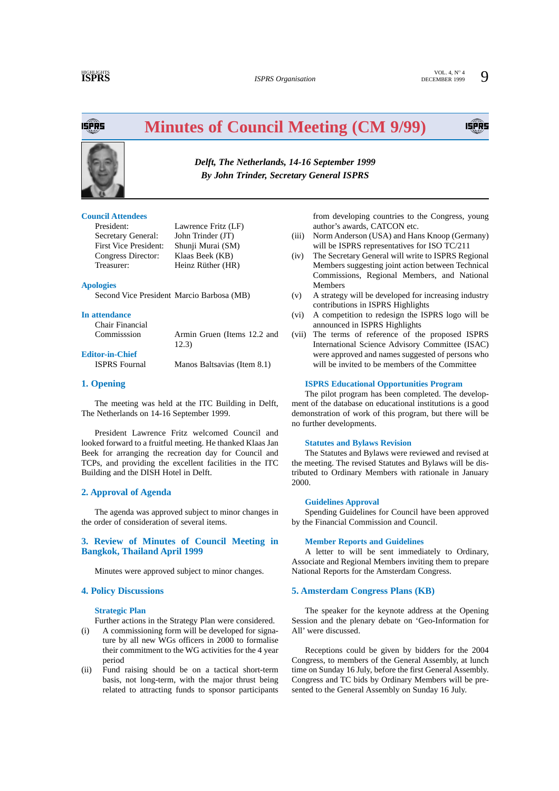**ISPRS**  $\sum_{\text{NOL. 4, N}^{\circ}4}^{\text{NOL. 4, N}^{\circ}4}$  **SPRS**  $\sum_{\text{DECEMBER 1999}}^{\text{VOL. 4, N}^{\circ}4}$ 

ISPŘS

## **Minutes of Council Meeting (CM 9/99)**



*Delft, The Netherlands, 14-16 September 1999 By John Trinder, Secretary General ISPRS*

#### **Council Attendees**

President: Lawrence Fritz (LF) Secretary General: John Trinder (JT) First Vice President: Shunji Murai (SM) Congress Director: Klaas Beek (KB) Treasurer: Heinz Rüther (HR)

#### **Apologies**

Second Vice President Marcio Barbosa (MB)

#### **In attendance**

Chair Financial

Commisssion Armin Gruen (Items 12.2 and 12.3)

**Editor-in-Chief**  ISPRS Fournal Manos Baltsavias (Item 8.1)

### **1. Opening**

The meeting was held at the ITC Building in Delft, The Netherlands on 14-16 September 1999.

President Lawrence Fritz welcomed Council and looked forward to a fruitful meeting. He thanked Klaas Jan Beek for arranging the recreation day for Council and TCPs, and providing the excellent facilities in the ITC Building and the DISH Hotel in Delft.

#### **2. Approval of Agenda**

The agenda was approved subject to minor changes in the order of consideration of several items.

#### **3. Review of Minutes of Council Meeting in Bangkok, Thailand April 1999**

Minutes were approved subject to minor changes.

#### **4. Policy Discussions**

#### **Strategic Plan**

Further actions in the Strategy Plan were considered.

- (i) A commissioning form will be developed for signature by all new WGs officers in 2000 to formalise their commitment to the WG activities for the 4 year period
- (ii) Fund raising should be on a tactical short-term basis, not long-term, with the major thrust being related to attracting funds to sponsor participants

from developing countries to the Congress, young author's awards, CATCON etc.

- (iii) Norm Anderson (USA) and Hans Knoop (Germany) will be ISPRS representatives for ISO TC/211
- (iv) The Secretary General will write to ISPRS Regional Members suggesting joint action between Technical Commissions, Regional Members, and National Members
- (v) A strategy will be developed for increasing industry contributions in ISPRS Highlights
- (vi) A competition to redesign the ISPRS logo will be announced in ISPRS Highlights
- (vii) The terms of reference of the proposed ISPRS International Science Advisory Committee (ISAC) were approved and names suggested of persons who will be invited to be members of the Committee

#### **ISPRS Educational Opportunities Program**

The pilot program has been completed. The development of the database on educational institutions is a good demonstration of work of this program, but there will be no further developments.

#### **Statutes and Bylaws Revision**

The Statutes and Bylaws were reviewed and revised at the meeting. The revised Statutes and Bylaws will be distributed to Ordinary Members with rationale in January 2000.

#### **Guidelines Approval**

Spending Guidelines for Council have been approved by the Financial Commission and Council.

#### **Member Reports and Guidelines**

A letter to will be sent immediately to Ordinary, Associate and Regional Members inviting them to prepare National Reports for the Amsterdam Congress.

#### **5. Amsterdam Congress Plans (KB)**

The speaker for the keynote address at the Opening Session and the plenary debate on 'Geo-Information for All' were discussed.

Receptions could be given by bidders for the 2004 Congress, to members of the General Assembly, at lunch time on Sunday 16 July, before the first General Assembly. Congress and TC bids by Ordinary Members will be presented to the General Assembly on Sunday 16 July.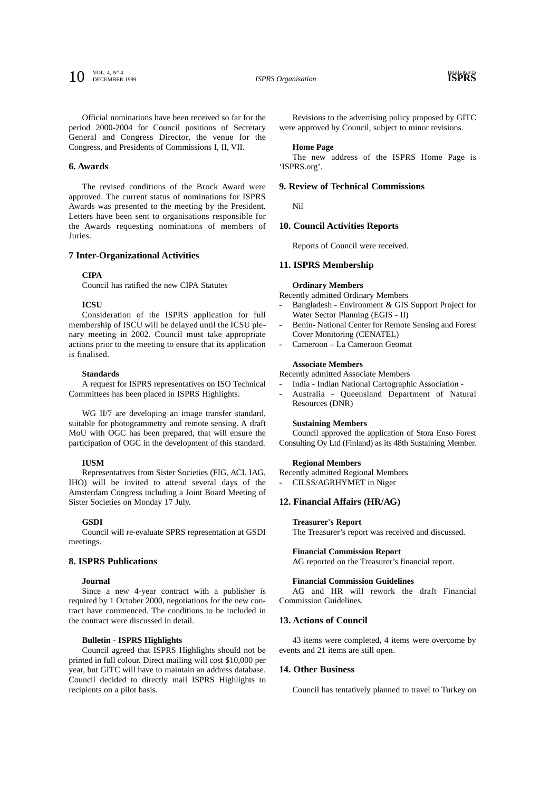**10** VOL. 4, N<sup>o</sup> 4<br>
ISPRS Organisation<br>
ISPRS Organisation

**ISPRS** Organisation

Official nominations have been received so far for the period 2000-2004 for Council positions of Secretary General and Congress Director, the venue for the Congress, and Presidents of Commissions I, II, VII.

#### **6. Awards**

The revised conditions of the Brock Award were approved. The current status of nominations for ISPRS Awards was presented to the meeting by the President. Letters have been sent to organisations responsible for the Awards requesting nominations of members of Juries.

#### **7 Inter-Organizational Activities**

#### **CIPA**

Council has ratified the new CIPA Statutes

#### **ICSU**

Consideration of the ISPRS application for full membership of ISCU will be delayed until the ICSU plenary meeting in 2002. Council must take appropriate actions prior to the meeting to ensure that its application is finalised.

#### **Standards**

A request for ISPRS representatives on ISO Technical Committees has been placed in ISPRS Highlights.

WG II/7 are developing an image transfer standard, suitable for photogrammetry and remote sensing. A draft MoU with OGC has been prepared, that will ensure the participation of OGC in the development of this standard.

#### **IUSM**

Representatives from Sister Societies (FIG, ACI, IAG, IHO) will be invited to attend several days of the Amsterdam Congress including a Joint Board Meeting of Sister Societies on Monday 17 July.

#### **GSDI**

Council will re-evaluate SPRS representation at GSDI meetings.

#### **8. ISPRS Publications**

#### **Journal**

Since a new 4-year contract with a publisher is required by 1 October 2000, negotiations for the new contract have commenced. The conditions to be included in the contract were discussed in detail.

#### **Bulletin - ISPRS Highlights**

Council agreed that ISPRS Highlights should not be printed in full colour. Direct mailing will cost \$10,000 per year, but GITC will have to maintain an address database. Council decided to directly mail ISPRS Highlights to recipients on a pilot basis.

Revisions to the advertising policy proposed by GITC were approved by Council, subject to minor revisions.

#### **Home Page**

The new address of the ISPRS Home Page is 'ISPRS.org'.

#### **9. Review of Technical Commissions**

Nil

#### **10. Council Activities Reports**

Reports of Council were received.

#### **11. ISPRS Membership**

#### **Ordinary Members**

Recently admitted Ordinary Members

- Bangladesh Environment & GIS Support Project for Water Sector Planning (EGIS - II)
- Benin- National Center for Remote Sensing and Forest Cover Monitoring (CENATEL)
- Cameroon La Cameroon Geomat

#### **Associate Members**

Recently admitted Associate Members

- India Indian National Cartographic Association -
- Australia Queensland Department of Natural Resources (DNR)

#### **Sustaining Members**

Council approved the application of Stora Enso Forest Consulting Oy Ltd (Finland) as its 48th Sustaining Member.

#### **Regional Members**

Recently admitted Regional Members

CILSS/AGRHYMET in Niger

#### **12. Financial Affairs (HR/AG)**

#### **Treasurer's Report**

The Treasurer's report was received and discussed.

#### **Financial Commission Report**

AG reported on the Treasurer's financial report.

#### **Financial Commission Guidelines**

AG and HR will rework the draft Financial Commission Guidelines.

#### **13. Actions of Council**

43 items were completed, 4 items were overcome by events and 21 items are still open.

#### **14. Other Business**

Council has tentatively planned to travel to Turkey on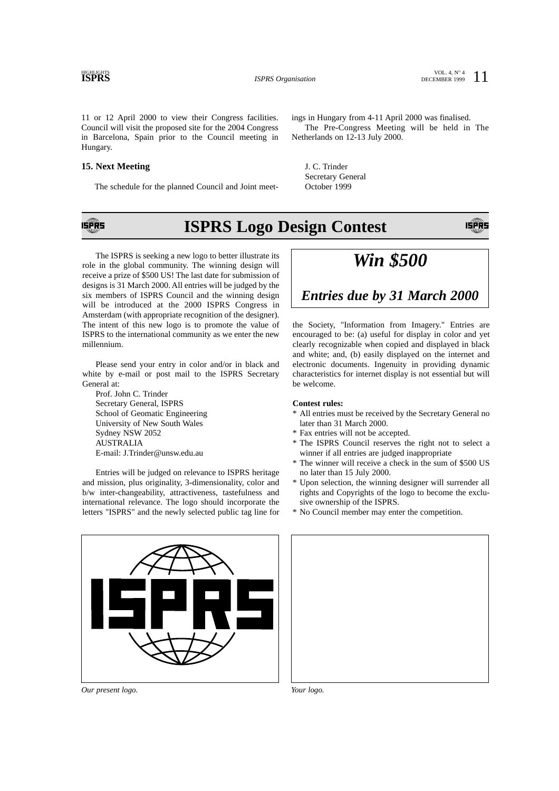**ISPRS** 

11 or 12 April 2000 to view their Congress facilities. Council will visit the proposed site for the 2004 Congress in Barcelona, Spain prior to the Council meeting in Hungary.

#### **15. Next Meeting**

The schedule for the planned Council and Joint meet-

ings in Hungary from 4-11 April 2000 was finalised. The Pre-Congress Meeting will be held in The Netherlands on 12-13 July 2000.

J. C. Trinder Secretary General October 1999



## **ISPRS Logo Design Contest**

The ISPRS is seeking a new logo to better illustrate its role in the global community. The winning design will receive a prize of \$500 US! The last date for submission of designs is 31 March 2000. All entries will be judged by the six members of ISPRS Council and the winning design will be introduced at the 2000 ISPRS Congress in Amsterdam (with appropriate recognition of the designer). The intent of this new logo is to promote the value of ISPRS to the international community as we enter the new millennium.

Please send your entry in color and/or in black and white by e-mail or post mail to the ISPRS Secretary General at:

Prof. John C. Trinder Secretary General, ISPRS School of Geomatic Engineering University of New South Wales Sydney NSW 2052 AUSTRALIA E-mail: J.Trinder@unsw.edu.au

Entries will be judged on relevance to ISPRS heritage and mission, plus originality, 3-dimensionality, color and b/w inter-changeability, attractiveness, tastefulness and international relevance. The logo should incorporate the letters "ISPRS" and the newly selected public tag line for



### *Entries due by 31 March 2000*

the Society, "Information from Imagery." Entries are encouraged to be: (a) useful for display in color and yet clearly recognizable when copied and displayed in black and white; and, (b) easily displayed on the internet and electronic documents. Ingenuity in providing dynamic characteristics for internet display is not essential but will be welcome.

#### **Contest rules:**

- \* All entries must be received by the Secretary General no later than 31 March 2000.
- \* Fax entries will not be accepted.
- \* The ISPRS Council reserves the right not to select a winner if all entries are judged inappropriate
- \* The winner will receive a check in the sum of \$500 US no later than 15 July 2000.
- \* Upon selection, the winning designer will surrender all rights and Copyrights of the logo to become the exclusive ownership of the ISPRS.
- \* No Council member may enter the competition.



*Our present logo. Your logo.*

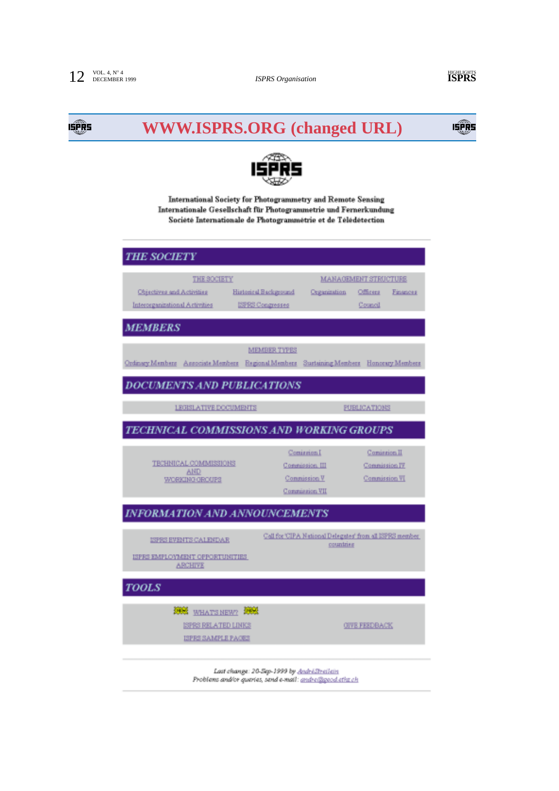## 15 PR

# **WWW.ISPRS.ORG (changed URL)**





International Society for Photogrammetry and Remote Sensing Internationale Gesellschaft für Photogrammetrie und Fernerkundung Société Internationale de Photogrammétrie et de Télédétection

| <b>THE SOCIETY</b>                                                                      |                                                  |                                                                        |                                                        |          |
|-----------------------------------------------------------------------------------------|--------------------------------------------------|------------------------------------------------------------------------|--------------------------------------------------------|----------|
| THE SOCIETY<br>Objectives and Activities<br>Intercepanizational Activities              | Historical Background<br><b>ISPRS Congresses</b> | Organization                                                           | <b>MANAGEMENT STRUCTURE</b><br>Officera<br>Council     | Finances |
| <b>MEMBERS</b>                                                                          |                                                  |                                                                        |                                                        |          |
| Ordinary Members Ansociate Members Regional Members Sustaining Members Honocary Members | <b>MEMBER TYPES</b>                              |                                                                        |                                                        |          |
| <b>DOCUMENTS AND PUBLICATIONS</b>                                                       |                                                  |                                                                        |                                                        |          |
| <b>LEGISLATIVE DOCUMENTS</b>                                                            |                                                  |                                                                        | <b>FUBLICATIONS</b>                                    |          |
| TECHNICAL COMMISSIONS AND WORKING GROUPS                                                |                                                  |                                                                        |                                                        |          |
| TECHNICAL COMMISSIONS<br><b>AND</b><br>WORKING GROUPS                                   |                                                  | Comingion I<br>Congrission, III<br>Commission V<br>Congression VII     | Comission II<br>Commission IV.<br><b>Commission VI</b> |          |
| <b>INFORMATION AND ANNOUNCEMENTS</b>                                                    |                                                  |                                                                        |                                                        |          |
| ISPES EVENTS CALENDAR<br>ISPRS EMPLOYMENT OPPORTUNITIES<br><b>ARCHIVE</b>               |                                                  | Call for 'CIPA National Delegates' from all ISPRS member.<br>countries |                                                        |          |
| <b>TOOLS</b>                                                                            |                                                  |                                                                        |                                                        |          |
| 5928<br><b>Time!</b><br>WHAT'S NEW?<br>ISPRS RELATED LINKS<br><b>ISPRS SAMPLE PACES</b> |                                                  |                                                                        | <b>GIVE FEEDBACK</b>                                   |          |

Last change: 20-Sep-1999 by AndréStreilein Problems and/or quartes, send e-mail: andre@peod.ethz.ch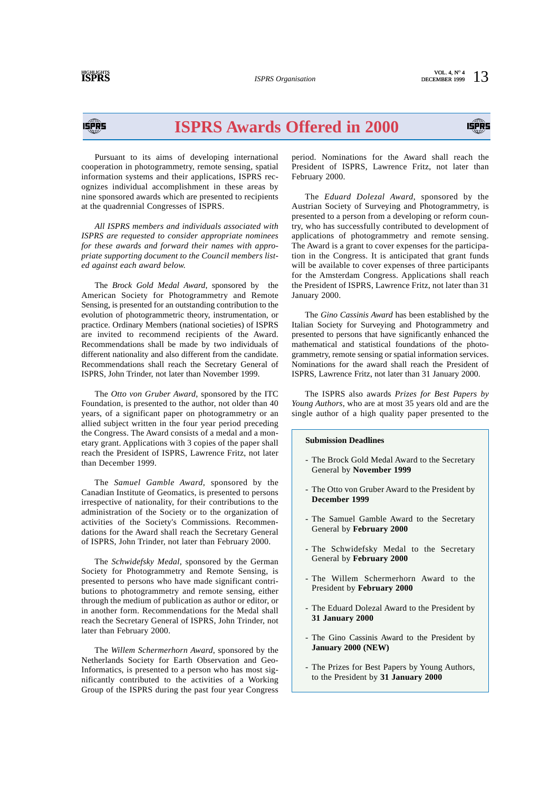IĘPŘS

# **ISPRS Awards Offered in 2000**

Pursuant to its aims of developing international cooperation in photogrammetry, remote sensing, spatial information systems and their applications, ISPRS recognizes individual accomplishment in these areas by nine sponsored awards which are presented to recipients at the quadrennial Congresses of ISPRS.

*All ISPRS members and individuals associated with ISPRS are requested to consider appropriate nominees for these awards and forward their names with appropriate supporting document to the Council members listed against each award below.*

The *Brock Gold Medal Award*, sponsored by the American Society for Photogrammetry and Remote Sensing, is presented for an outstanding contribution to the evolution of photogrammetric theory, instrumentation, or practice. Ordinary Members (national societies) of ISPRS are invited to recommend recipients of the Award. Recommendations shall be made by two individuals of different nationality and also different from the candidate. Recommendations shall reach the Secretary General of ISPRS, John Trinder, not later than November 1999.

The *Otto von Gruber Award*, sponsored by the ITC Foundation, is presented to the author, not older than 40 years, of a significant paper on photogrammetry or an allied subject written in the four year period preceding the Congress. The Award consists of a medal and a monetary grant. Applications with 3 copies of the paper shall reach the President of ISPRS, Lawrence Fritz, not later than December 1999.

The *Samuel Gamble Award*, sponsored by the Canadian Institute of Geomatics, is presented to persons irrespective of nationality, for their contributions to the administration of the Society or to the organization of activities of the Society's Commissions. Recommendations for the Award shall reach the Secretary General of ISPRS, John Trinder, not later than February 2000.

The *Schwidefsky Medal*, sponsored by the German Society for Photogrammetry and Remote Sensing, is presented to persons who have made significant contributions to photogrammetry and remote sensing, either through the medium of publication as author or editor, or in another form. Recommendations for the Medal shall reach the Secretary General of ISPRS, John Trinder, not later than February 2000.

The *Willem Schermerhorn Award*, sponsored by the Netherlands Society for Earth Observation and Geo-Informatics, is presented to a person who has most significantly contributed to the activities of a Working Group of the ISPRS during the past four year Congress period. Nominations for the Award shall reach the President of ISPRS, Lawrence Fritz, not later than February 2000.

The *Eduard Dolezal Award*, sponsored by the Austrian Society of Surveying and Photogrammetry, is presented to a person from a developing or reform country, who has successfully contributed to development of applications of photogrammetry and remote sensing. The Award is a grant to cover expenses for the participation in the Congress. It is anticipated that grant funds will be available to cover expenses of three participants for the Amsterdam Congress. Applications shall reach the President of ISPRS, Lawrence Fritz, not later than 31 January 2000.

The *Gino Cassinis Award* has been established by the Italian Society for Surveying and Photogrammetry and presented to persons that have significantly enhanced the mathematical and statistical foundations of the photogrammetry, remote sensing or spatial information services. Nominations for the award shall reach the President of ISPRS, Lawrence Fritz, not later than 31 January 2000.

The ISPRS also awards *Prizes for Best Papers by Young Authors*, who are at most 35 years old and are the single author of a high quality paper presented to the

#### **Submission Deadlines**

- The Brock Gold Medal Award to the Secretary General by **November 1999**
- The Otto von Gruber Award to the President by **December 1999**
- The Samuel Gamble Award to the Secretary General by **February 2000**
- The Schwidefsky Medal to the Secretary General by **February 2000**
- The Willem Schermerhorn Award to the President by **February 2000**
- The Eduard Dolezal Award to the President by **31 January 2000**
- The Gino Cassinis Award to the President by **January 2000 (NEW)**
- The Prizes for Best Papers by Young Authors, to the President by **31 January 2000**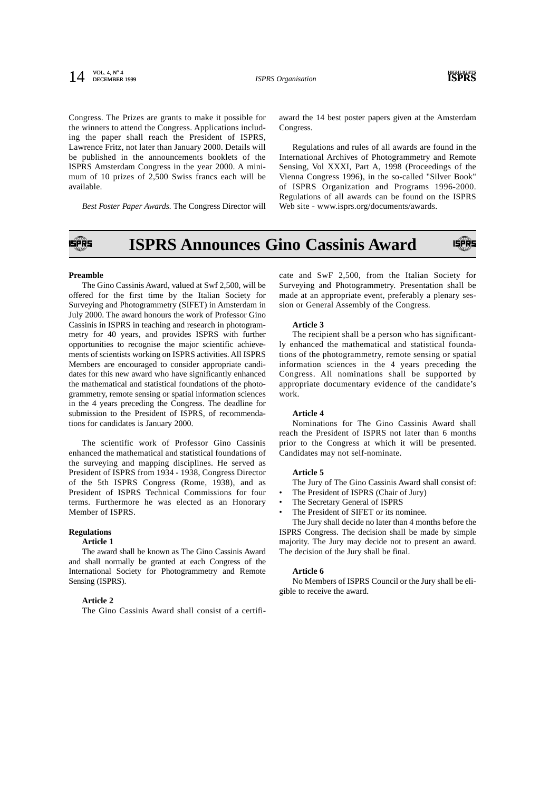#### **14 ISPRS** *Organisation* **ISPRS ISPRS ISPRS** DECEMBER 1999



Congress. The Prizes are grants to make it possible for the winners to attend the Congress. Applications including the paper shall reach the President of ISPRS, Lawrence Fritz, not later than January 2000. Details will be published in the announcements booklets of the ISPRS Amsterdam Congress in the year 2000. A minimum of 10 prizes of 2,500 Swiss francs each will be available.

*Best Poster Paper Awards.* The Congress Director will

award the 14 best poster papers given at the Amsterdam Congress.

Regulations and rules of all awards are found in the International Archives of Photogrammetry and Remote Sensing, Vol XXXI, Part A, 1998 (Proceedings of the Vienna Congress 1996), in the so-called "Silver Book" of ISPRS Organization and Programs 1996-2000. Regulations of all awards can be found on the ISPRS Web site - www.isprs.org/documents/awards.

#### **ISPRS Announces Gino Cassinis Award** ISPR5 **ISPRS**

#### **Preamble**

The Gino Cassinis Award, valued at Swf 2,500, will be offered for the first time by the Italian Society for Surveying and Photogrammetry (SIFET) in Amsterdam in July 2000. The award honours the work of Professor Gino Cassinis in ISPRS in teaching and research in photogrammetry for 40 years, and provides ISPRS with further opportunities to recognise the major scientific achievements of scientists working on ISPRS activities. All ISPRS Members are encouraged to consider appropriate candidates for this new award who have significantly enhanced the mathematical and statistical foundations of the photogrammetry, remote sensing or spatial information sciences in the 4 years preceding the Congress. The deadline for submission to the President of ISPRS, of recommendations for candidates is January 2000.

The scientific work of Professor Gino Cassinis enhanced the mathematical and statistical foundations of the surveying and mapping disciplines. He served as President of ISPRS from 1934 - 1938, Congress Director of the 5th ISPRS Congress (Rome, 1938), and as President of ISPRS Technical Commissions for four terms. Furthermore he was elected as an Honorary Member of ISPRS.

#### **Regulations**

#### **Article 1**

The award shall be known as The Gino Cassinis Award and shall normally be granted at each Congress of the International Society for Photogrammetry and Remote Sensing (ISPRS).

#### **Article 2**

The Gino Cassinis Award shall consist of a certifi-

cate and SwF 2,500, from the Italian Society for Surveying and Photogrammetry. Presentation shall be made at an appropriate event, preferably a plenary session or General Assembly of the Congress.

#### **Article 3**

The recipient shall be a person who has significantly enhanced the mathematical and statistical foundations of the photogrammetry, remote sensing or spatial information sciences in the 4 years preceding the Congress. All nominations shall be supported by appropriate documentary evidence of the candidate's work.

#### **Article 4**

Nominations for The Gino Cassinis Award shall reach the President of ISPRS not later than 6 months prior to the Congress at which it will be presented. Candidates may not self-nominate.

#### **Article 5**

The Jury of The Gino Cassinis Award shall consist of:

- The President of ISPRS (Chair of Jury)
- The Secretary General of ISPRS

The President of SIFET or its nominee.

The Jury shall decide no later than 4 months before the ISPRS Congress. The decision shall be made by simple majority. The Jury may decide not to present an award. The decision of the Jury shall be final.

#### **Article 6**

No Members of ISPRS Council or the Jury shall be eligible to receive the award.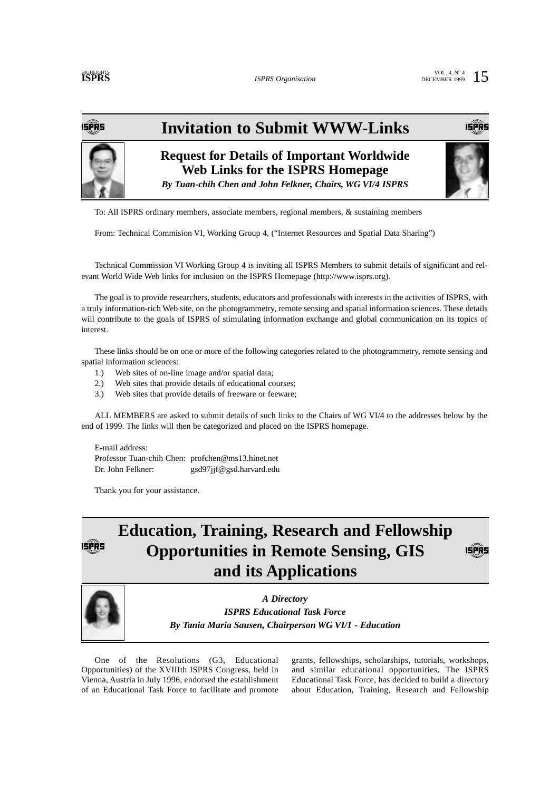IŞPŘS

# **Invitation to Submit WWW-Links**



**Request for Details of Important Worldwide Web Links for the ISPRS Homepage** *By Tuan-chih Chen and John Felkner, Chairs, WG VI/4 ISPRS*



To: All ISPRS ordinary members, associate members, regional members, & sustaining members

From: Technical Commision VI, Working Group 4, ("Internet Resources and Spatial Data Sharing")

Technical Commission VI Working Group 4 is inviting all ISPRS Members to submit details of significant and relevant World Wide Web links for inclusion on the ISPRS Homepage (http://www.isprs.org).

The goal is to provide researchers, students, educators and professionals with interests in the activities of ISPRS, with a truly information-rich Web site, on the photogrammetry, remote sensing and spatial information sciences. These details will contribute to the goals of ISPRS of stimulating information exchange and global communication on its topics of interest.

These links should be on one or more of the following categories related to the photogrammetry, remote sensing and spatial information sciences:

- 1.) Web sites of on-line image and/or spatial data;
- 2.) Web sites that provide details of educational courses;
- 3.) Web sites that provide details of freeware or feeware;

ALL MEMBERS are asked to submit details of such links to the Chairs of WG VI/4 to the addresses below by the end of 1999. The links will then be categorized and placed on the ISPRS homepage.

E-mail address: Professor Tuan-chih Chen: profchen@ms13.hinet.net Dr. John Felkner: gsd97jjf@gsd.harvard.edu

Thank you for your assistance.

### **Education, Training, Research and Fellowship Opportunities in Remote Sensing, GIS**  ISPRS **and its Applications**



*A Directory ISPRS Educational Task Force By Tania Maria Sausen, Chairperson WG VI/1 - Education*

One of the Resolutions (G3, Educational Opportunities) of the XVIIIth ISPRS Congress, held in Vienna, Austria in July 1996, endorsed the establishment of an Educational Task Force to facilitate and promote

grants, fellowships, scholarships, tutorials, workshops, and similar educational opportunities. The ISPRS Educational Task Force, has decided to build a directory about Education, Training, Research and Fellowship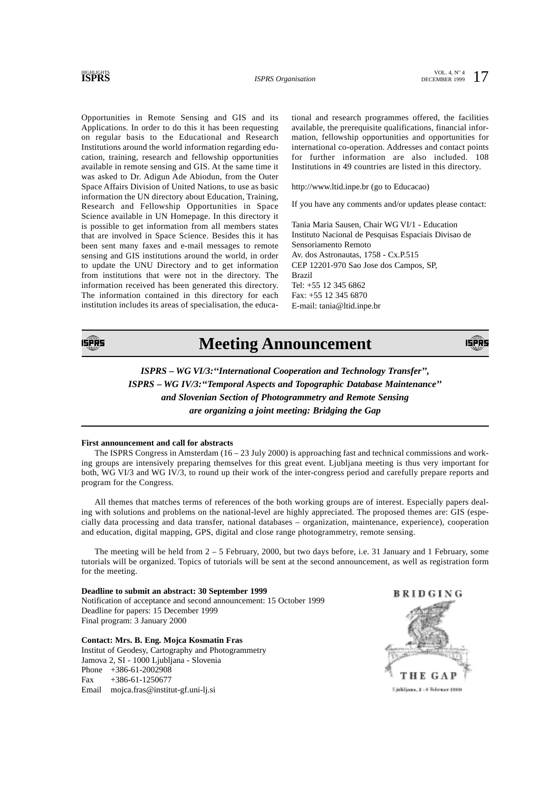### **HIGHLIGHTS**

Opportunities in Remote Sensing and GIS and its Applications. In order to do this it has been requesting on regular basis to the Educational and Research Institutions around the world information regarding education, training, research and fellowship opportunities available in remote sensing and GIS. At the same time it was asked to Dr. Adigun Ade Abiodun, from the Outer Space Affairs Division of United Nations, to use as basic information the UN directory about Education, Training, Research and Fellowship Opportunities in Space Science available in UN Homepage. In this directory it is possible to get information from all members states that are involved in Space Science. Besides this it has been sent many faxes and e-mail messages to remote sensing and GIS institutions around the world, in order to update the UNU Directory and to get information from institutions that were not in the directory. The information received has been generated this directory. The information contained in this directory for each institution includes its areas of specialisation, the educational and research programmes offered, the facilities available, the prerequisite qualifications, financial information, fellowship opportunities and opportunities for international co-operation. Addresses and contact points for further information are also included. 108 Institutions in 49 countries are listed in this directory.

http://www.ltid.inpe.br (go to Educacao)

If you have any comments and/or updates please contact:

Tania Maria Sausen, Chair WG VI/1 - Education Instituto Nacional de Pesquisas Espaciais Divisao de Sensoriamento Remoto Av. dos Astronautas, 1758 - Cx.P.515 CEP 12201-970 Sao Jose dos Campos, SP, Brazil Tel: +55 12 345 6862 Fax: +55 12 345 6870 E-mail: tania@ltid.inpe.br



### **Meeting Announcement**



*ISPRS – WG VI/3:''International Cooperation and Technology Transfer'', ISPRS – WG IV/3:''Temporal Aspects and Topographic Database Maintenance'' and Slovenian Section of Photogrammetry and Remote Sensing are organizing a joint meeting: Bridging the Gap*

#### **First announcement and call for abstracts**

The ISPRS Congress in Amsterdam (16 – 23 July 2000) is approaching fast and technical commissions and working groups are intensively preparing themselves for this great event. Ljubljana meeting is thus very important for both, WG VI/3 and WG IV/3, to round up their work of the inter-congress period and carefully prepare reports and program for the Congress.

All themes that matches terms of references of the both working groups are of interest. Especially papers dealing with solutions and problems on the national-level are highly appreciated. The proposed themes are: GIS (especially data processing and data transfer, national databases – organization, maintenance, experience), cooperation and education, digital mapping, GPS, digital and close range photogrammetry, remote sensing.

The meeting will be held from  $2 - 5$  February, 2000, but two days before, i.e. 31 January and 1 February, some tutorials will be organized. Topics of tutorials will be sent at the second announcement, as well as registration form for the meeting.

**Deadline to submit an abstract: 30 September 1999** Notification of acceptance and second announcement: 15 October 1999 Deadline for papers: 15 December 1999 Final program: 3 January 2000

**Contact: Mrs. B. Eng. Mojca Kosmatin Fras** Institut of Geodesy, Cartography and Photogrammetry Jamova 2, SI - 1000 Ljubljana - Slovenia Phone +386-61-2002908 Fax +386-61-1250677 Email mojca.fras@institut-gf.uni-lj.si

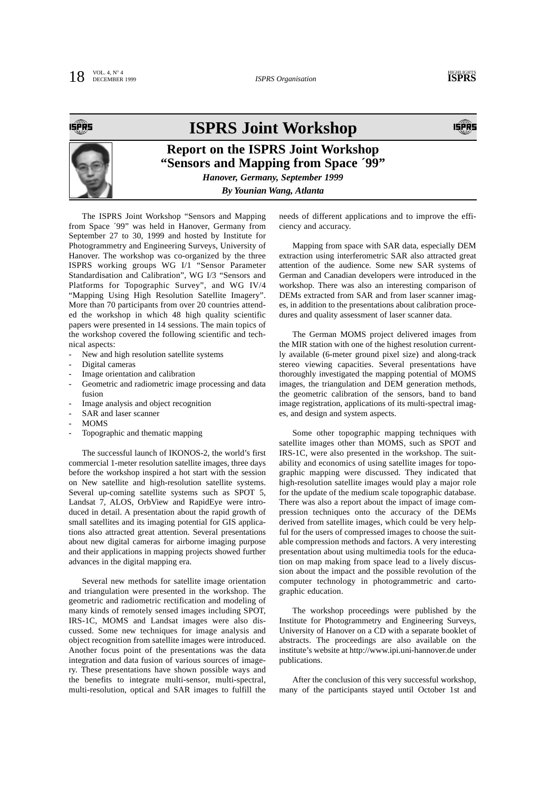SPRS

### **ISPRS Joint Workshop**



### **Report on the ISPRS Joint Workshop "Sensors and Mapping from Space ´99"** *Hanover, Germany, September 1999*

*By Younian Wang, Atlanta*

The ISPRS Joint Workshop "Sensors and Mapping from Space ´99" was held in Hanover, Germany from September 27 to 30, 1999 and hosted by Institute for Photogrammetry and Engineering Surveys, University of Hanover. The workshop was co-organized by the three ISPRS working groups WG I/1 "Sensor Parameter Standardisation and Calibration", WG I/3 "Sensors and Platforms for Topographic Survey", and WG IV/4 "Mapping Using High Resolution Satellite Imagery". More than 70 participants from over 20 countries attended the workshop in which 48 high quality scientific papers were presented in 14 sessions. The main topics of the workshop covered the following scientific and technical aspects:

- New and high resolution satellite systems
- Digital cameras
- Image orientation and calibration
- Geometric and radiometric image processing and data fusion
- Image analysis and object recognition
- SAR and laser scanner
- MOMS
- Topographic and thematic mapping

The successful launch of IKONOS-2, the world's first commercial 1-meter resolution satellite images, three days before the workshop inspired a hot start with the session on New satellite and high-resolution satellite systems. Several up-coming satellite systems such as SPOT 5, Landsat 7, ALOS, OrbView and RapidEye were introduced in detail. A presentation about the rapid growth of small satellites and its imaging potential for GIS applications also attracted great attention. Several presentations about new digital cameras for airborne imaging purpose and their applications in mapping projects showed further advances in the digital mapping era.

Several new methods for satellite image orientation and triangulation were presented in the workshop. The geometric and radiometric rectification and modeling of many kinds of remotely sensed images including SPOT, IRS-1C, MOMS and Landsat images were also discussed. Some new techniques for image analysis and object recognition from satellite images were introduced. Another focus point of the presentations was the data integration and data fusion of various sources of imagery. These presentations have shown possible ways and the benefits to integrate multi-sensor, multi-spectral, multi-resolution, optical and SAR images to fulfill the needs of different applications and to improve the efficiency and accuracy.

Mapping from space with SAR data, especially DEM extraction using interferometric SAR also attracted great attention of the audience. Some new SAR systems of German and Canadian developers were introduced in the workshop. There was also an interesting comparison of DEMs extracted from SAR and from laser scanner images, in addition to the presentations about calibration procedures and quality assessment of laser scanner data.

The German MOMS project delivered images from the MIR station with one of the highest resolution currently available (6-meter ground pixel size) and along-track stereo viewing capacities. Several presentations have thoroughly investigated the mapping potential of MOMS images, the triangulation and DEM generation methods, the geometric calibration of the sensors, band to band image registration, applications of its multi-spectral images, and design and system aspects.

Some other topographic mapping techniques with satellite images other than MOMS, such as SPOT and IRS-1C, were also presented in the workshop. The suitability and economics of using satellite images for topographic mapping were discussed. They indicated that high-resolution satellite images would play a major role for the update of the medium scale topographic database. There was also a report about the impact of image compression techniques onto the accuracy of the DEMs derived from satellite images, which could be very helpful for the users of compressed images to choose the suitable compression methods and factors. A very interesting presentation about using multimedia tools for the education on map making from space lead to a lively discussion about the impact and the possible revolution of the computer technology in photogrammetric and cartographic education.

The workshop proceedings were published by the Institute for Photogrammetry and Engineering Surveys, University of Hanover on a CD with a separate booklet of abstracts. The proceedings are also available on the institute's website at http://www.ipi.uni-hannover.de under publications.

After the conclusion of this very successful workshop, many of the participants stayed until October 1st and